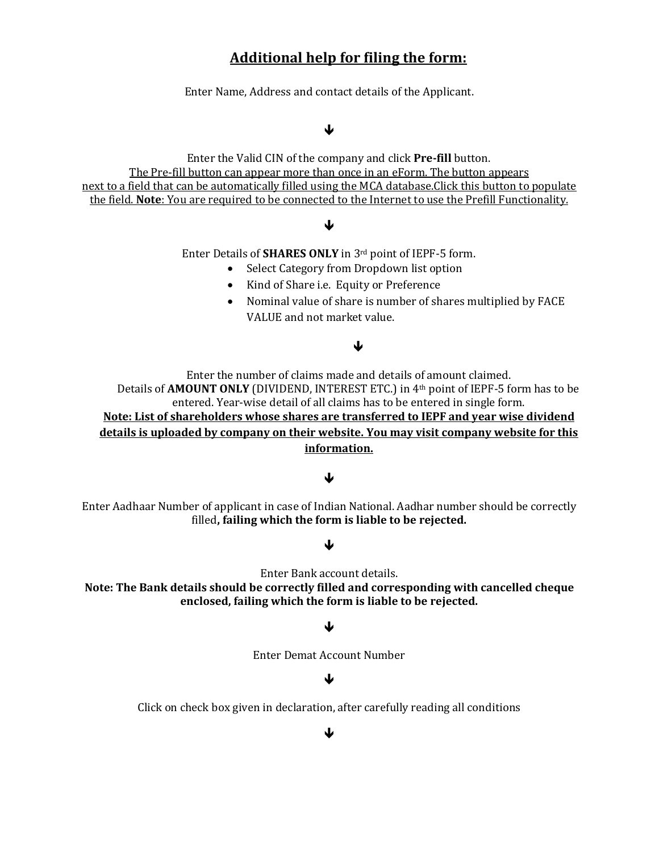# **Additional help for filing the form:**

Enter Name, Address and contact details of the Applicant.

### ↓

Enter the Valid CIN of the company and click **Pre-fill** button. The Pre-fill button can appear more than once in an eForm. The button appears next to a field that can be automatically filled using the MCA database.Click this button to populate the field. **Note**: You are required to be connected to the Internet to use the Prefill Functionality.

### ↓

Enter Details of **SHARES ONLY** in 3rd point of IEPF-5 form.

- Select Category from Dropdown list option
- Kind of Share i.e. Equity or Preference
- Nominal value of share is number of shares multiplied by FACE VALUE and not market value.

### J

Enter the number of claims made and details of amount claimed. Details of **AMOUNT ONLY** (DIVIDEND, INTEREST ETC.) in 4th point of IEPF-5 form has to be entered. Year-wise detail of all claims has to be entered in single form. **Note: List of shareholders whose shares are transferred to IEPF and year wise dividend details is uploaded by company on their website. You may visit company website for this information.**

### ↓

Enter Aadhaar Number of applicant in case of Indian National. Aadhar number should be correctly filled**, failing which the form is liable to be rejected.**

### ↓

Enter Bank account details.

**Note: The Bank details should be correctly filled and corresponding with cancelled cheque enclosed, failing which the form is liable to be rejected.**

### ↓

Enter Demat Account Number

# ↓

Click on check box given in declaration, after carefully reading all conditions